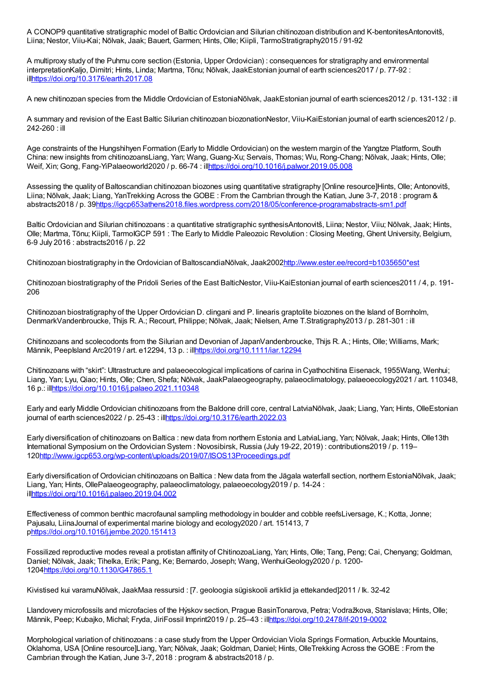A CONOP9 quantitative stratigraphic model of Baltic Ordovician and Silurian chitinozoan distribution and K-bentonitesAntonovitš, Liina; Nestor, Viiu-Kai; Nõlvak, Jaak; Bauert, Garmen; Hints, Olle; Kiipli, TarmoStratigraphy2015 / 91-92

A multiproxy study of the Puhmu core section (Estonia, Upper Ordovician) : consequences for stratigraphy and environmental interpretationKaljo, Dimitri; Hints, Linda; Martma, Tõnu; Nõlvak, JaakEstonian journal of earth sciences2017 / p. 77-92 : il[lhttps://doi.org/10.3176/earth.2017.08](https://doi.org/10.3176/earth.2017.08)

A new chitinozoan species from the Middle Ordovician of EstoniaNõlvak, JaakEstonian journal of earth sciences2012 / p. 131-132 : ill

A summary and revision of the East Baltic Silurian chitinozoan biozonationNestor, Viiu-KaiEstonian journal of earth sciences2012 / p. 242-260 : ill

Age constraints of the Hungshihyen Formation (Early to Middle Ordovician) on the western margin of the Yangtze Platform, South China: new insights from chitinozoansLiang, Yan; Wang, Guang-Xu; Servais, Thomas; Wu, Rong-Chang; Nõlvak, Jaak; Hints, Olle; Weif, Xin; Gong, Fang-YiPalaeoworld2020 / p. 66-74 : il[lhttps://doi.org/10.1016/j.palwor.2019.05.008](https://doi.org/10.1016/j.palwor.2019.05.008)

Assessing the quality of Baltoscandian chitinozoan biozones using quantitative stratigraphy [Online resource]Hints, Olle; Antonovitš, Liina; Nõlvak, Jaak; Liang, YanTrekking Across the GOBE : From the Cambrian through the Katian, June 3-7, 2018 : program & abstracts2018 / p. 3[9https://igcp653athens2018.files.wordpress.com/2018/05/conference-programabstracts-sm1.pdf](https://igcp653athens2018.files.wordpress.com/2018/05/conference-programabstracts-sm1.pdf)

Baltic Ordovician and Silurian chitinozoans : a quantitative stratigraphic synthesisAntonovitš, Liina; Nestor, Viiu; Nõlvak, Jaak; Hints, Olle; Martma, Tõnu; Kiipli, TarmoIGCP 591 : The Early to Middle Paleozoic Revolution : Closing Meeting, Ghent University, Belgium, 6-9 July 2016 : abstracts2016 / p. 22

Chitinozoan biostratigraphy in the Ordovician of BaltoscandiaNõlvak, Jaak200[2http://www.ester.ee/record=b1035650\\*est](http://www.ester.ee/record=b1035650*est)

Chitinozoan biostratigraphy of the Pridoli Series of the East BalticNestor, Viiu-KaiEstonian journal of earth sciences2011 / 4, p. 191- 206

Chitinozoan biostratigraphy of the Upper Ordovician D. clingani and P. linearis graptolite biozones on the Island of Bornholm, DenmarkVandenbroucke, Thijs R. A.; Recourt, Philippe; Nõlvak, Jaak; Nielsen, Arne T.Stratigraphy2013 / p. 281-301 : ill

Chitinozoans and scolecodonts from the Silurian and Devonian of JapanVandenbroucke, Thijs R. A.; Hints, Olle; Williams, Mark; Männik, PeepIsland Arc2019 / art. e12294, 13 p. : il[lhttps://doi.org/10.1111/iar.12294](https://doi.org/10.1111/iar.12294)

Chitinozoans with "skirt": Ultrastructure and palaeoecological implications of carina in Cyathochitina Eisenack, 1955Wang, Wenhui; Liang, Yan; Lyu, Qiao; Hints, Olle; Chen, Shefa; Nõlvak, JaakPalaeogeography, palaeoclimatology, palaeoecology2021 / art. 110348, 16 p.: il[lhttps://doi.org/10.1016/j.palaeo.2021.110348](https://doi.org/10.1016/j.palaeo.2021.110348)

Early and early Middle Ordovician chitinozoans from the Baldone drill core, central LatviaNõlvak, Jaak; Liang, Yan; Hints, OlleEstonian journal of earth sciences2022 / p. 25-43 : il[lhttps://doi.org/10.3176/earth.2022.03](https://doi.org/10.3176/earth.2022.03)

Early diversification of chitinozoans on Baltica : new data from northern Estonia and LatviaLiang, Yan; Nõlvak, Jaak; Hints, Olle13th International Symposium on the Ordovician System : Novosibirsk, Russia (July 19-22, 2019) : contributions2019 / p. 119– 12[0http://www.igcp653.org/wp-content/uploads/2019/07/ISOS13Proceedings.pdf](http://www.igcp653.org/wp-content/uploads/2019/07/ISOS13Proceedings.pdf)

Early diversification of Ordovician chitinozoans on Baltica : New data from the Jägala waterfall section, northern EstoniaNõlvak, Jaak; Liang, Yan; Hints, OllePalaeogeography, palaeoclimatology, palaeoecology2019 / p. 14-24 : il[lhttps://doi.org/10.1016/j.palaeo.2019.04.002](https://doi.org/10.1016/j.palaeo.2019.04.002)

Effectiveness of common benthic macrofaunal sampling methodology in boulder and cobble reefsLiversage, K.; Kotta, Jonne; Pajusalu, LiinaJournal of experimental marine biology and ecology2020 / art. 151413, 7 [phttps://doi.org/10.1016/j.jembe.2020.151413](https://doi.org/10.1016/j.jembe.2020.151413)

Fossilized reproductive modes reveal a protistan affinity of ChitinozoaLiang, Yan; Hints, Olle; Tang, Peng; Cai, Chenyang; Goldman, Daniel; Nõlvak, Jaak; Tihelka, Erik; Pang, Ke; Bernardo, Joseph; Wang, WenhuiGeology2020 / p. 1200- 1204<https://doi.org/10.1130/G47865.1>

Kivistised kui varamuNõlvak, JaakMaa ressursid : [7. geoloogia sügiskooli artiklid ja ettekanded]2011 / lk. 32-42

Llandovery microfossils and microfacies of the Hýskov section, Prague BasinTonarova, Petra; Vodražkova, Stanislava; Hints, Olle; Männik, Peep; Kubajko, Michal; Fryda, JiriFossil Imprint2019 / p. 25–43 : il[lhttps://doi.org/10.2478/if-2019-0002](https://doi.org/10.2478/if-2019-0002)

Morphological variation of chitinozoans : a case study from the Upper Ordovician Viola Springs Formation, Arbuckle Mountains, Oklahoma, USA [Online resource]Liang, Yan; Nõlvak, Jaak; Goldman, Daniel; Hints, OlleTrekking Across the GOBE : From the Cambrian through the Katian, June 3-7, 2018 : program & abstracts2018 / p.